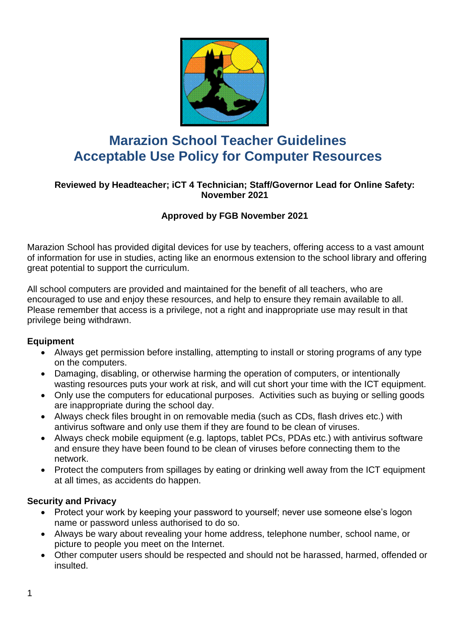

# **Marazion School Teacher Guidelines Acceptable Use Policy for Computer Resources**

## **Reviewed by Headteacher; iCT 4 Technician; Staff/Governor Lead for Online Safety: November 2021**

# **Approved by FGB November 2021**

Marazion School has provided digital devices for use by teachers, offering access to a vast amount of information for use in studies, acting like an enormous extension to the school library and offering great potential to support the curriculum.

All school computers are provided and maintained for the benefit of all teachers, who are encouraged to use and enjoy these resources, and help to ensure they remain available to all. Please remember that access is a privilege, not a right and inappropriate use may result in that privilege being withdrawn.

#### **Equipment**

- Always get permission before installing, attempting to install or storing programs of any type on the computers.
- Damaging, disabling, or otherwise harming the operation of computers, or intentionally wasting resources puts your work at risk, and will cut short your time with the ICT equipment.
- Only use the computers for educational purposes. Activities such as buying or selling goods are inappropriate during the school day.
- Always check files brought in on removable media (such as CDs, flash drives etc.) with antivirus software and only use them if they are found to be clean of viruses.
- Always check mobile equipment (e.g. laptops, tablet PCs, PDAs etc.) with antivirus software and ensure they have been found to be clean of viruses before connecting them to the network.
- Protect the computers from spillages by eating or drinking well away from the ICT equipment at all times, as accidents do happen.

#### **Security and Privacy**

- Protect your work by keeping your password to yourself; never use someone else's logon name or password unless authorised to do so.
- Always be wary about revealing your home address, telephone number, school name, or picture to people you meet on the Internet.
- Other computer users should be respected and should not be harassed, harmed, offended or insulted.